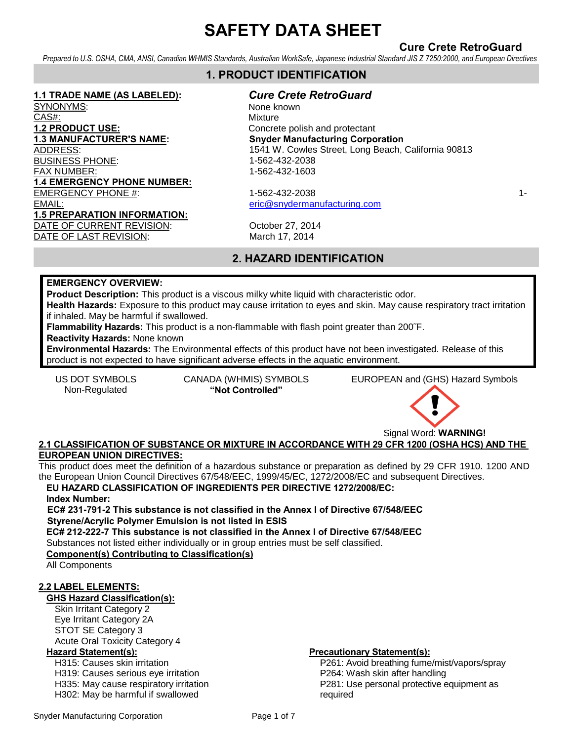# **Cure Crete RetroGuard**

*Prepared to U.S. OSHA, CMA, ANSI, Canadian WHMIS Standards, Australian WorkSafe, Japanese Industrial Standard JIS Z 7250:2000, and European Directives* 

# **1. PRODUCT IDENTIFICATION**

#### **1.1 TRADE NAME (AS LABELED):**

SYNONYMS: CAS#: **1.2 PRODUCT USE: 1.3 MANUFACTURER'S NAME:**  ADDRESS: BUSINESS PHONE: FAX NUMBER: **1.4 EMERGENCY PHONE NUMBER:** EMERGENCY PHONE #: 1-562-432-2038 1-562 1-562 1-682 1-682 1-682 1-682 1-682 1-682 1-683 1-683 1-683 1-683 1-68 EMAIL: [eric@snydermanufacturing.com](mailto:eric@snydermanufacturing.com) **1.5 PREPARATION INFORMATION:** DATE OF CURRENT REVISION: October 27, 2014 DATE OF LAST REVISION: March 17, 2014

*Cure Crete RetroGuard*

None known Mixture Concrete polish and protectant **Snyder Manufacturing Corporation**  1541 W. Cowles Street, Long Beach, California 90813 1-562-432-2038 1-562-432-1603

# **2. HAZARD IDENTIFICATION**

#### **EMERGENCY OVERVIEW:**

**Product Description:** This product is a viscous milky white liquid with characteristic odor.

**Health Hazards:** Exposure to this product may cause irritation to eyes and skin. May cause respiratory tract irritation if inhaled. May be harmful if swallowed.

**Flammability Hazards:** This product is a non-flammable with flash point greater than 200˜F.

**Reactivity Hazards:** None known

**Environmental Hazards:** The Environmental effects of this product have not been investigated. Release of this product is not expected to have significant adverse effects in the aquatic environment.

Non-Regulated **"Not Controlled"**

US DOT SYMBOLS CANADA (WHMIS) SYMBOLS EUROPEAN and (GHS) Hazard Symbols



### **2.1 CLASSIFICATION OF SUBSTANCE OR MIXTURE IN ACCORDANCE WITH 29 CFR 1200 (OSHA HCS) AND THE EUROPEAN UNION DIRECTIVES:**

This product does meet the definition of a hazardous substance or preparation as defined by 29 CFR 1910. 1200 AND the European Union Council Directives 67/548/EEC, 1999/45/EC, 1272/2008/EC and subsequent Directives.

## **EU HAZARD CLASSIFICATION OF INGREDIENTS PER DIRECTIVE 1272/2008/EC:**

#### **Index Number:**

**EC# 231-791-2 This substance is not classified in the Annex I of Directive 67/548/EEC Styrene/Acrylic Polymer Emulsion is not listed in ESIS** 

**EC# 212-222-7 This substance is not classified in the Annex I of Directive 67/548/EEC**  Substances not listed either individually or in group entries must be self classified.

# **Component(s) Contributing to Classification(s)**

All Components

#### **2.2 LABEL ELEMENTS:**

**GHS Hazard Classification(s):**

Skin Irritant Category 2 Eye Irritant Category 2A STOT SE Category 3 Acute Oral Toxicity Category 4

H315: Causes skin irritation H319: Causes serious eye irritation H335: May cause respiratory irritation H302: May be harmful if swallowed

#### **Hazard Statement(s): Precautionary Statement(s):**

P261: Avoid breathing fume/mist/vapors/spray P264: Wash skin after handling P281: Use personal protective equipment as required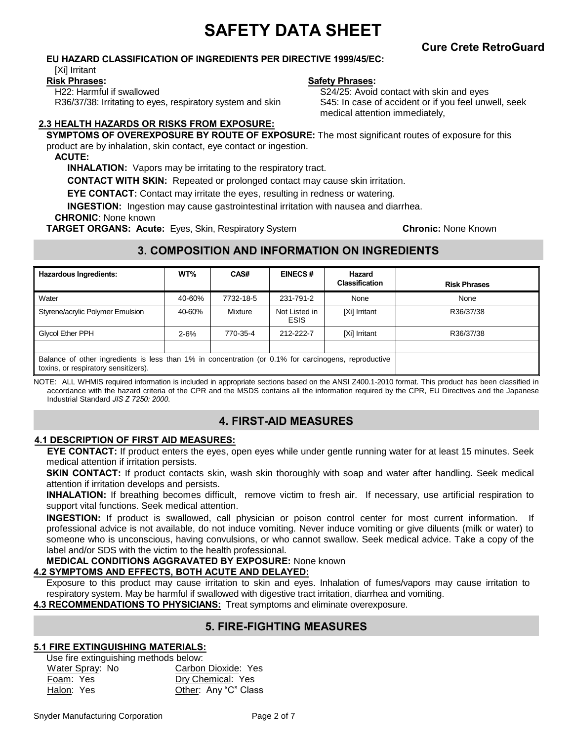# **Cure Crete RetroGuard**

#### **EU HAZARD CLASSIFICATION OF INGREDIENTS PER DIRECTIVE 1999/45/EC:**

[Xi] Irritant

**Risk Phrases:**

H22: Harmful if swallowed R36/37/38: Irritating to eyes, respiratory system and skin

#### **Safety Phrases:**

S24/25: Avoid contact with skin and eyes S45: In case of accident or if you feel unwell, seek medical attention immediately,

## **2.3 HEALTH HAZARDS OR RISKS FROM EXPOSURE:**

**SYMPTOMS OF OVEREXPOSURE BY ROUTE OF EXPOSURE:** The most significant routes of exposure for this product are by inhalation, skin contact, eye contact or ingestion.

#### **ACUTE:**

**INHALATION:** Vapors may be irritating to the respiratory tract.

**CONTACT WITH SKIN:** Repeated or prolonged contact may cause skin irritation.

**EYE CONTACT:** Contact may irritate the eyes, resulting in redness or watering.

**INGESTION:** Ingestion may cause gastrointestinal irritation with nausea and diarrhea.

#### **CHRONIC**: None known

**TARGET ORGANS: Acute:** Eyes, Skin, Respiratory System **Chronic:** None Known

# **3. COMPOSITION AND INFORMATION ON INGREDIENTS**

| <b>Hazardous Ingredients:</b>                                                                                                                | WT%      | CAS#      | <b>EINECS#</b>               | Hazard<br><b>Classification</b> | <b>Risk Phrases</b> |
|----------------------------------------------------------------------------------------------------------------------------------------------|----------|-----------|------------------------------|---------------------------------|---------------------|
| Water                                                                                                                                        | 40-60%   | 7732-18-5 | 231-791-2                    | None                            | None                |
| Styrene/acrylic Polymer Emulsion                                                                                                             | 40-60%   | Mixture   | Not Listed in<br><b>ESIS</b> | [Xi] Irritant                   | R36/37/38           |
| <b>Glycol Ether PPH</b>                                                                                                                      | $2 - 6%$ | 770-35-4  | 212-222-7                    | [Xi] Irritant                   | R36/37/38           |
|                                                                                                                                              |          |           |                              |                                 |                     |
| Balance of other ingredients is less than 1% in concentration (or 0.1% for carcinogens, reproductive<br>toxins, or respiratory sensitizers). |          |           |                              |                                 |                     |

NOTE: ALL WHMIS required information is included in appropriate sections based on the ANSI Z400.1-2010 format. This product has been classified in accordance with the hazard criteria of the CPR and the MSDS contains all the information required by the CPR, EU Directives and the Japanese Industrial Standard *JIS Z 7250: 2000*.

# **4. FIRST-AID MEASURES**

#### **4.1 DESCRIPTION OF FIRST AID MEASURES:**

**EYE CONTACT:** If product enters the eyes, open eyes while under gentle running water for at least 15 minutes. Seek medical attention if irritation persists.

**SKIN CONTACT:** If product contacts skin, wash skin thoroughly with soap and water after handling. Seek medical attention if irritation develops and persists.

**INHALATION:** If breathing becomes difficult, remove victim to fresh air. If necessary, use artificial respiration to support vital functions. Seek medical attention.

**INGESTION:** If product is swallowed, call physician or poison control center for most current information. If professional advice is not available, do not induce vomiting. Never induce vomiting or give diluents (milk or water) to someone who is unconscious, having convulsions, or who cannot swallow. Seek medical advice. Take a copy of the label and/or SDS with the victim to the health professional.

#### **MEDICAL CONDITIONS AGGRAVATED BY EXPOSURE:** None known

#### **4.2 SYMPTOMS AND EFFECTS, BOTH ACUTE AND DELAYED:**

Exposure to this product may cause irritation to skin and eyes. Inhalation of fumes/vapors may cause irritation to respiratory system. May be harmful if swallowed with digestive tract irritation, diarrhea and vomiting.

**4.3 RECOMMENDATIONS TO PHYSICIANS:** Treat symptoms and eliminate overexposure.

# **5. FIRE-FIGHTING MEASURES**

#### **5.1 FIRE EXTINGUISHING MATERIALS:**

Use fire extinguishing methods below: Water Spray: No **Carbon Dioxide: Yes** Foam: Yes Dry Chemical: Yes Halon: Yes **Other: Any "C" Class**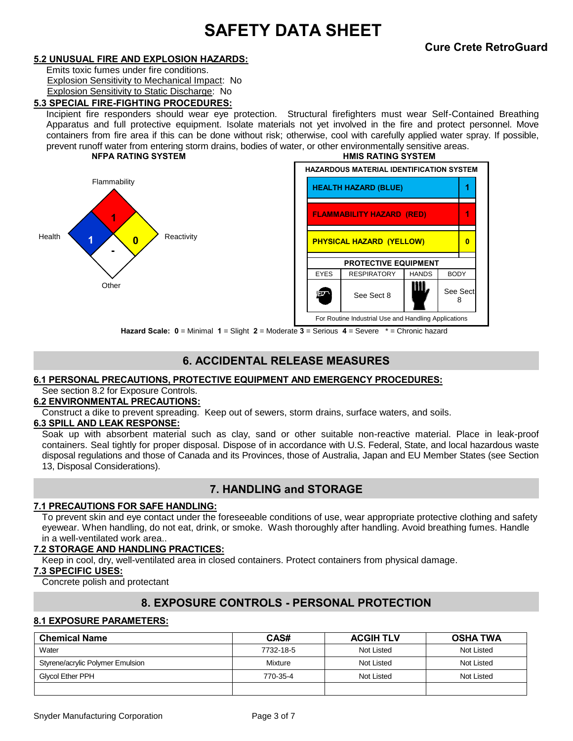#### **5.2 UNUSUAL FIRE AND EXPLOSION HAZARDS:**

Emits toxic fumes under fire conditions. Explosion Sensitivity to Mechanical Impact: No Explosion Sensitivity to Static Discharge: No

#### **5.3 SPECIAL FIRE-FIGHTING PROCEDURES:**

Incipient fire responders should wear eye protection. Structural firefighters must wear Self-Contained Breathing Apparatus and full protective equipment. Isolate materials not yet involved in the fire and protect personnel. Move containers from fire area if this can be done without risk; otherwise, cool with carefully applied water spray. If possible, prevent runoff water from entering storm drains, bodies of water, or other environmentally sensitive areas. **NFPA RATING SYSTEM HMIS RATING SYSTEM**





**Hazard Scale: 0** = Minimal **1** = Slight **2** = Moderate **3** = Serious **4** = Severe \* = Chronic hazard

# **6. ACCIDENTAL RELEASE MEASURES**

#### **6.1 PERSONAL PRECAUTIONS, PROTECTIVE EQUIPMENT AND EMERGENCY PROCEDURES:**

See section 8.2 for Exposure Controls.

#### **6.2 ENVIRONMENTAL PRECAUTIONS:**

Construct a dike to prevent spreading.Keep out of sewers, storm drains, surface waters, and soils.

### **6.3 SPILL AND LEAK RESPONSE:**

Soak up with absorbent material such as clay, sand or other suitable non-reactive material. Place in leak-proof containers. Seal tightly for proper disposal. Dispose of in accordance with U.S. Federal, State, and local hazardous waste disposal regulations and those of Canada and its Provinces, those of Australia, Japan and EU Member States (see Section 13, Disposal Considerations).

# **7. HANDLING and STORAGE**

#### **7.1 PRECAUTIONS FOR SAFE HANDLING:**

To prevent skin and eye contact under the foreseeable conditions of use, wear appropriate protective clothing and safety eyewear. When handling, do not eat, drink, or smoke. Wash thoroughly after handling. Avoid breathing fumes. Handle in a well-ventilated work area..

#### **7.2 STORAGE AND HANDLING PRACTICES:**

Keep in cool, dry, well-ventilated area in closed containers. Protect containers from physical damage.

#### **7.3 SPECIFIC USES:**

Concrete polish and protectant

## **8. EXPOSURE CONTROLS - PERSONAL PROTECTION**

#### **8.1 EXPOSURE PARAMETERS:**

| <b>Chemical Name</b>             | CAS#      | <b>ACGIH TLV</b> | <b>OSHA TWA</b> |
|----------------------------------|-----------|------------------|-----------------|
| Water                            | 7732-18-5 | Not Listed       | Not Listed      |
| Styrene/acrylic Polymer Emulsion | Mixture   | Not Listed       | Not Listed      |
| <b>Givcol Ether PPH</b>          | 770-35-4  | Not Listed       | Not Listed      |
|                                  |           |                  |                 |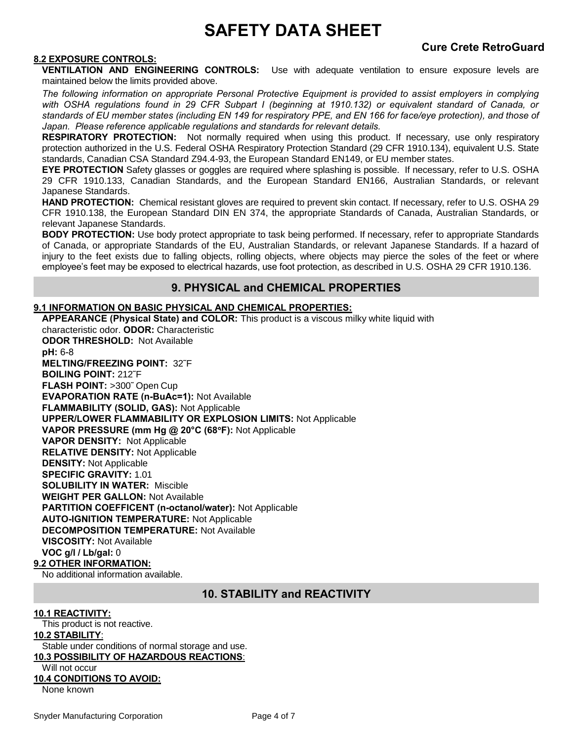# **Cure Crete RetroGuard**

#### **8.2 EXPOSURE CONTROLS:**

**VENTILATION AND ENGINEERING CONTROLS:** Use with adequate ventilation to ensure exposure levels are maintained below the limits provided above.

*The following information on appropriate Personal Protective Equipment is provided to assist employers in complying with OSHA regulations found in 29 CFR Subpart I (beginning at 1910.132) or equivalent standard of Canada, or standards of EU member states (including EN 149 for respiratory PPE, and EN 166 for face/eye protection), and those of Japan. Please reference applicable regulations and standards for relevant details.* 

**RESPIRATORY PROTECTION:** Not normally required when using this product. If necessary, use only respiratory protection authorized in the U.S. Federal OSHA Respiratory Protection Standard (29 CFR 1910.134), equivalent U.S. State standards, Canadian CSA Standard Z94.4-93, the European Standard EN149, or EU member states.

**EYE PROTECTION** Safety glasses or goggles are required where splashing is possible. If necessary, refer to U.S. OSHA 29 CFR 1910.133, Canadian Standards, and the European Standard EN166, Australian Standards, or relevant Japanese Standards.

**HAND PROTECTION:** Chemical resistant gloves are required to prevent skin contact. If necessary, refer to U.S. OSHA 29 CFR 1910.138, the European Standard DIN EN 374, the appropriate Standards of Canada, Australian Standards, or relevant Japanese Standards.

**BODY PROTECTION:** Use body protect appropriate to task being performed. If necessary, refer to appropriate Standards of Canada, or appropriate Standards of the EU, Australian Standards, or relevant Japanese Standards. If a hazard of injury to the feet exists due to falling objects, rolling objects, where objects may pierce the soles of the feet or where employee's feet may be exposed to electrical hazards, use foot protection, as described in U.S. OSHA 29 CFR 1910.136.

## **9. PHYSICAL and CHEMICAL PROPERTIES**

#### **9.1 INFORMATION ON BASIC PHYSICAL AND CHEMICAL PROPERTIES:**

**APPEARANCE (Physical State) and COLOR:** This product is a viscous milky white liquid with characteristic odor. **ODOR:** Characteristic **ODOR THRESHOLD:** Not Available **pH:** 6-8 **MELTING/FREEZING POINT:** 32˜F **BOILING POINT:** 212˜F **FLASH POINT:** >300˜ Open Cup **EVAPORATION RATE (n-BuAc=1):** Not Available **FLAMMABILITY (SOLID, GAS):** Not Applicable **UPPER/LOWER FLAMMABILITY OR EXPLOSION LIMITS:** Not Applicable **VAPOR PRESSURE (mm Hg @ 20°C (68F):** Not Applicable **VAPOR DENSITY:** Not Applicable **RELATIVE DENSITY:** Not Applicable **DENSITY:** Not Applicable **SPECIFIC GRAVITY:** 1.01 **SOLUBILITY IN WATER:** Miscible **WEIGHT PER GALLON:** Not Available **PARTITION COEFFICENT (n-octanol/water):** Not Applicable **AUTO-IGNITION TEMPERATURE:** Not Applicable **DECOMPOSITION TEMPERATURE:** Not Available **VISCOSITY:** Not Available **VOC g/l / Lb/gal:** 0 **9.2 OTHER INFORMATION:** No additional information available.

# **10. STABILITY and REACTIVITY**

#### **10.1 REACTIVITY:**

This product is not reactive. **10.2 STABILITY**: Stable under conditions of normal storage and use. **10.3 POSSIBILITY OF HAZARDOUS REACTIONS**: Will not occur **10.4 CONDITIONS TO AVOID:** None known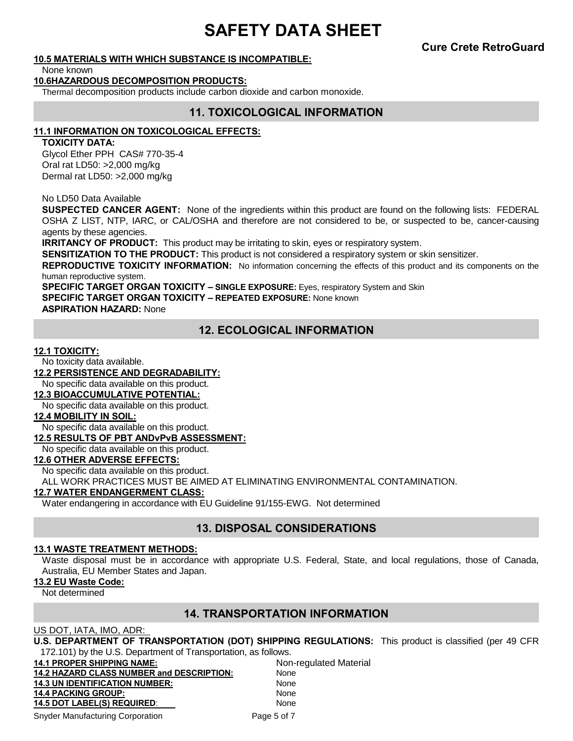**Cure Crete RetroGuard**

#### **10.5 MATERIALS WITH WHICH SUBSTANCE IS INCOMPATIBLE:**

None known

#### **10.6HAZARDOUS DECOMPOSITION PRODUCTS:**

Thermal decomposition products include carbon dioxide and carbon monoxide.

### **11. TOXICOLOGICAL INFORMATION**

#### **11.1 INFORMATION ON TOXICOLOGICAL EFFECTS:**

#### **TOXICITY DATA:**

Glycol Ether PPH CAS# 770-35-4 Oral rat LD50: >2,000 mg/kg Dermal rat LD50: >2,000 mg/kg

No LD50 Data Available

**SUSPECTED CANCER AGENT:** None of the ingredients within this product are found on the following lists: FEDERAL OSHA Z LIST, NTP, IARC, or CAL/OSHA and therefore are not considered to be, or suspected to be, cancer-causing agents by these agencies.

**IRRITANCY OF PRODUCT:** This product may be irritating to skin, eyes or respiratory system.

**SENSITIZATION TO THE PRODUCT:** This product is not considered a respiratory system or skin sensitizer.

**REPRODUCTIVE TOXICITY INFORMATION:** No information concerning the effects of this product and its components on the human reproductive system.

**SPECIFIC TARGET ORGAN TOXICITY – SINGLE EXPOSURE:** Eyes, respiratory System and Skin

**SPECIFIC TARGET ORGAN TOXICITY – REPEATED EXPOSURE:** None known

**ASPIRATION HAZARD:** None

# **12. ECOLOGICAL INFORMATION**

#### **12.1 TOXICITY:**

No toxicity data available.

**12.2 PERSISTENCE AND DEGRADABILITY:**

No specific data available on this product.

#### **12.3 BIOACCUMULATIVE POTENTIAL:**

No specific data available on this product.

#### **12.4 MOBILITY IN SOIL:**

No specific data available on this product.

#### **12.5 RESULTS OF PBT ANDvPvB ASSESSMENT:**

No specific data available on this product.

#### **12.6 OTHER ADVERSE EFFECTS:**

No specific data available on this product.

ALL WORK PRACTICES MUST BE AIMED AT ELIMINATING ENVIRONMENTAL CONTAMINATION.

#### **12.7 WATER ENDANGERMENT CLASS:**

Water endangering in accordance with EU Guideline 91/155-EWG. Not determined

# **13. DISPOSAL CONSIDERATIONS**

#### **13.1 WASTE TREATMENT METHODS:**

Waste disposal must be in accordance with appropriate U.S. Federal, State, and local regulations, those of Canada, Australia, EU Member States and Japan.

#### **13.2 EU Waste Code:**

Not determined

## **14. TRANSPORTATION INFORMATION**

#### US DOT, IATA, IMO, ADR:

**U.S. DEPARTMENT OF TRANSPORTATION (DOT) SHIPPING REGULATIONS:** This product is classified (per 49 CFR 172.101) by the U.S. Department of Transportation, as follows.

| <b>14.1 PROPER SHIPPING NAME:</b>                | Non-regulated Material |
|--------------------------------------------------|------------------------|
| <b>14.2 HAZARD CLASS NUMBER and DESCRIPTION:</b> | None                   |
| <b>14.3 UN IDENTIFICATION NUMBER:</b>            | None                   |
| <b>14.4 PACKING GROUP:</b>                       | None                   |
| <b>14.5 DOT LABEL(S) REQUIRED:</b>               | <b>None</b>            |
| <b>Snyder Manufacturing Corporation</b>          | Page 5 of 7            |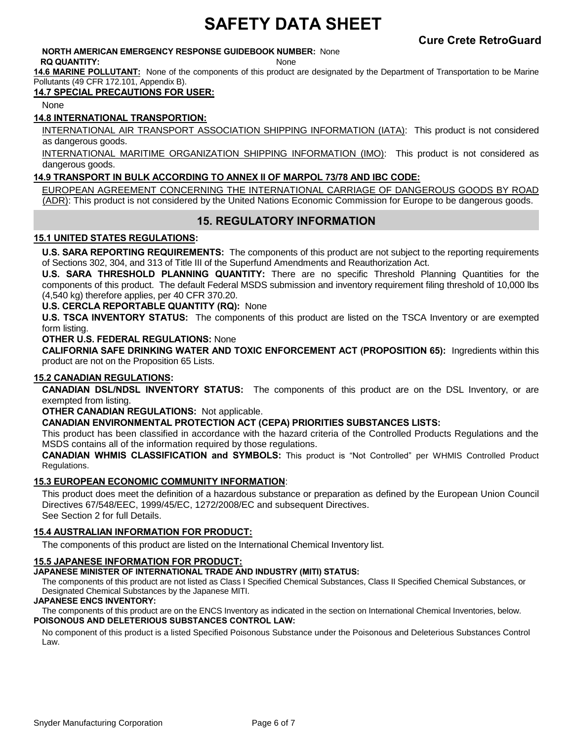#### **NORTH AMERICAN EMERGENCY RESPONSE GUIDEBOOK NUMBER:** None **RQ QUANTITY:** None

**14.6 MARINE POLLUTANT:** None of the components of this product are designated by the Department of Transportation to be Marine Pollutants (49 CFR 172.101, Appendix B).

## **14.7 SPECIAL PRECAUTIONS FOR USER:**

None

### **14.8 INTERNATIONAL TRANSPORTION:**

INTERNATIONAL AIR TRANSPORT ASSOCIATION SHIPPING INFORMATION (IATA): This product is not considered as dangerous goods.

INTERNATIONAL MARITIME ORGANIZATION SHIPPING INFORMATION (IMO): This product is not considered as dangerous goods.

#### **14.9 TRANSPORT IN BULK ACCORDING TO ANNEX II OF MARPOL 73/78 AND IBC CODE:**

EUROPEAN AGREEMENT CONCERNING THE INTERNATIONAL CARRIAGE OF DANGEROUS GOODS BY ROAD (ADR): This product is not considered by the United Nations Economic Commission for Europe to be dangerous goods.

# **15. REGULATORY INFORMATION**

### **15.1 UNITED STATES REGULATIONS:**

**U.S. SARA REPORTING REQUIREMENTS:** The components of this product are not subject to the reporting requirements of Sections 302, 304, and 313 of Title III of the Superfund Amendments and Reauthorization Act.

**U.S. SARA THRESHOLD PLANNING QUANTITY:** There are no specific Threshold Planning Quantities for the components of this product. The default Federal MSDS submission and inventory requirement filing threshold of 10,000 lbs (4,540 kg) therefore applies, per 40 CFR 370.20.

#### **U.S. CERCLA REPORTABLE QUANTITY (RQ):** None

**U.S. TSCA INVENTORY STATUS:** The components of this product are listed on the TSCA Inventory or are exempted form listing.

#### **OTHER U.S. FEDERAL REGULATIONS:** None

**CALIFORNIA SAFE DRINKING WATER AND TOXIC ENFORCEMENT ACT (PROPOSITION 65):** Ingredients within this product are not on the Proposition 65 Lists.

#### **15.2 CANADIAN REGULATIONS:**

**CANADIAN DSL/NDSL INVENTORY STATUS:** The components of this product are on the DSL Inventory, or are exempted from listing.

**OTHER CANADIAN REGULATIONS:** Not applicable.

#### **CANADIAN ENVIRONMENTAL PROTECTION ACT (CEPA) PRIORITIES SUBSTANCES LISTS:**

This product has been classified in accordance with the hazard criteria of the Controlled Products Regulations and the MSDS contains all of the information required by those regulations.

**CANADIAN WHMIS CLASSIFICATION and SYMBOLS:** This product is "Not Controlled" per WHMIS Controlled Product Regulations.

#### **15.3 EUROPEAN ECONOMIC COMMUNITY INFORMATION**:

This product does meet the definition of a hazardous substance or preparation as defined by the European Union Council Directives 67/548/EEC, 1999/45/EC, 1272/2008/EC and subsequent Directives. See Section 2 for full Details.

#### **15.4 AUSTRALIAN INFORMATION FOR PRODUCT:**

The components of this product are listed on the International Chemical Inventory list.

#### **15.5 JAPANESE INFORMATION FOR PRODUCT:**

#### **JAPANESE MINISTER OF INTERNATIONAL TRADE AND INDUSTRY (MITI) STATUS:**

The components of this product are not listed as Class I Specified Chemical Substances, Class II Specified Chemical Substances, or Designated Chemical Substances by the Japanese MITI.

#### **JAPANESE ENCS INVENTORY:**

The components of this product are on the ENCS Inventory as indicated in the section on International Chemical Inventories, below. **POISONOUS AND DELETERIOUS SUBSTANCES CONTROL LAW:**

No component of this product is a listed Specified Poisonous Substance under the Poisonous and Deleterious Substances Control Law.